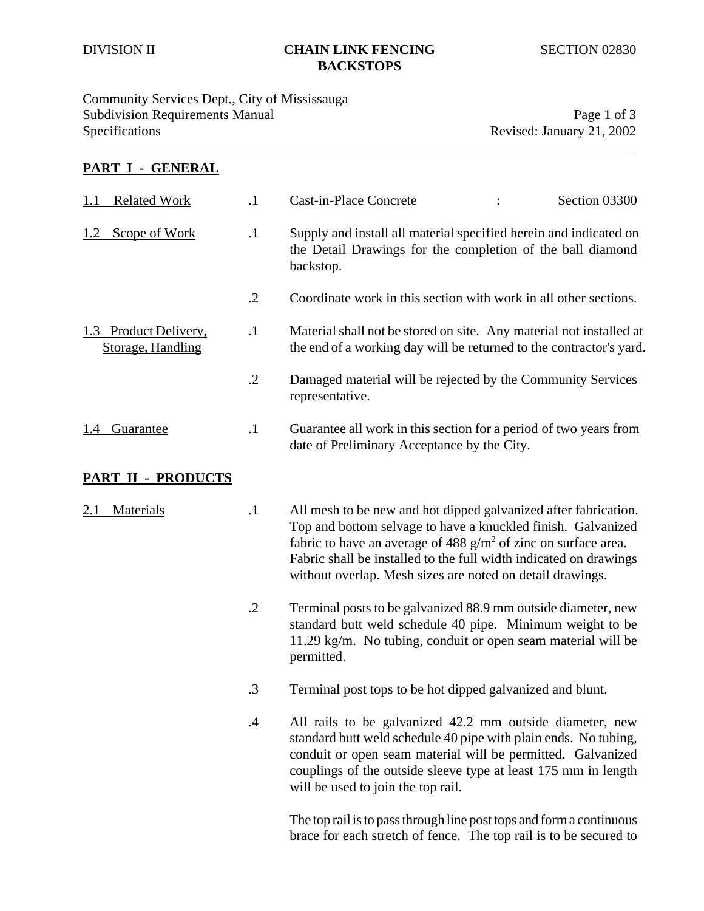#### DIVISION II **CHAIN LINK FENCING** SECTION 02830 **BACKSTOPS**

#### Community Services Dept., City of Mississauga Subdivision Requirements Manual **Page 1** of 3 Specifications Revised: January 21, 2002

## **PART I - GENERAL** 1.1 Related Work .1 Cast-in-Place Concrete : Section 03300 1.2 Scope of Work 1.1 Supply and install all material specified herein and indicated on the Detail Drawings for the completion of the ball diamond backstop. .2 Coordinate work in this section with work in all other sections. 1.3 Product Delivery, 1.1 Material shall not be stored on site. Any material not installed at Storage, Handling the end of a working day will be returned to the contractor's yard. .2 Damaged material will be rejected by the Community Services representative. 1.4 Guarantee .1 Guarantee all work in this section for a period of two years from date of Preliminary Acceptance by the City.

#### **PART II - PRODUCTS**

- 2.1 Materials .1 All mesh to be new and hot dipped galvanized after fabrication. Top and bottom selvage to have a knuckled finish. Galvanized fabric to have an average of 488  $g/m^2$  of zinc on surface area. Fabric shall be installed to the full width indicated on drawings without overlap. Mesh sizes are noted on detail drawings.
	- .2 Terminal posts to be galvanized 88.9 mm outside diameter, new standard butt weld schedule 40 pipe. Minimum weight to be 11.29 kg/m. No tubing, conduit or open seam material will be permitted.
	- .3 Terminal post tops to be hot dipped galvanized and blunt.
	- .4 All rails to be galvanized 42.2 mm outside diameter, new standard butt weld schedule 40 pipe with plain ends. No tubing, conduit or open seam material will be permitted. Galvanized couplings of the outside sleeve type at least 175 mm in length will be used to join the top rail.

The top rail is to pass through line post tops and form a continuous brace for each stretch of fence. The top rail is to be secured to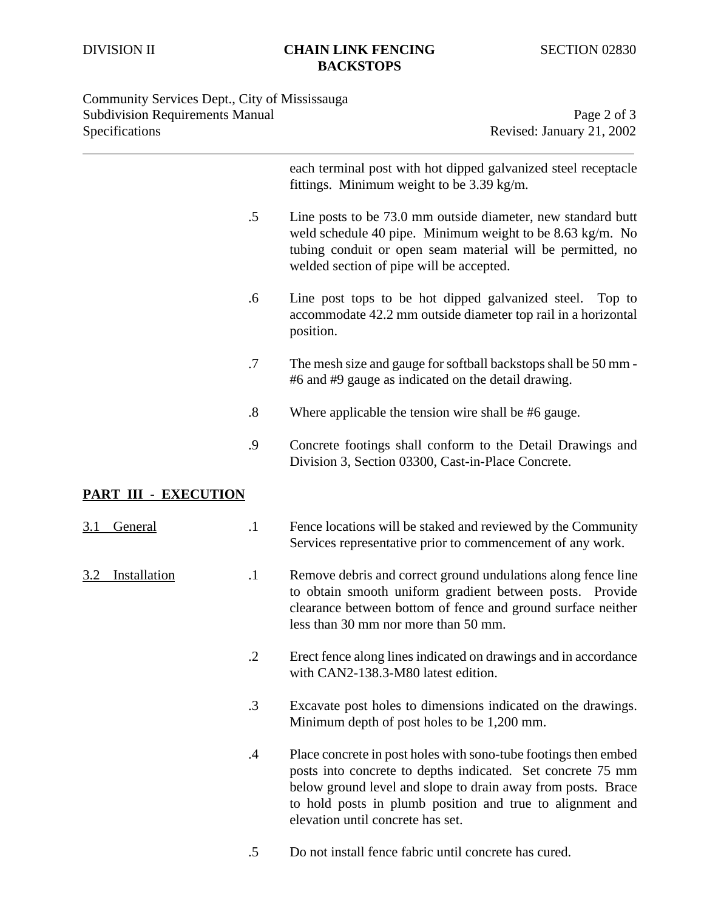## Community Services Dept., City of Mississauga Subdivision Requirements Manual Page 2 of 3<br>Specifications Revised: January 21, 2002

Revised: January 21, 2002

|                      |                   | each terminal post with hot dipped galvanized steel receptacle<br>fittings. Minimum weight to be 3.39 kg/m.                                                                                                                                                                                      |
|----------------------|-------------------|--------------------------------------------------------------------------------------------------------------------------------------------------------------------------------------------------------------------------------------------------------------------------------------------------|
|                      | $.5\,$            | Line posts to be 73.0 mm outside diameter, new standard butt<br>weld schedule 40 pipe. Minimum weight to be 8.63 kg/m. No<br>tubing conduit or open seam material will be permitted, no<br>welded section of pipe will be accepted.                                                              |
|                      | .6                | Line post tops to be hot dipped galvanized steel.<br>Top to<br>accommodate 42.2 mm outside diameter top rail in a horizontal<br>position.                                                                                                                                                        |
|                      | .7                | The mesh size and gauge for softball backstops shall be 50 mm -<br>#6 and #9 gauge as indicated on the detail drawing.                                                                                                                                                                           |
|                      | $\boldsymbol{.8}$ | Where applicable the tension wire shall be #6 gauge.                                                                                                                                                                                                                                             |
|                      | .9                | Concrete footings shall conform to the Detail Drawings and<br>Division 3, Section 03300, Cast-in-Place Concrete.                                                                                                                                                                                 |
| PART III - EXECUTION |                   |                                                                                                                                                                                                                                                                                                  |
| General<br>3.1       | $\cdot$ 1         | Fence locations will be staked and reviewed by the Community<br>Services representative prior to commencement of any work.                                                                                                                                                                       |
| Installation         | $\cdot$ 1         | Remove debris and correct ground undulations along fence line<br>to obtain smooth uniform gradient between posts. Provide<br>clearance between bottom of fence and ground surface neither<br>less than 30 mm nor more than 50 mm.                                                                |
|                      | .2                | Erect fence along lines indicated on drawings and in accordance<br>with CAN2-138.3-M80 latest edition.                                                                                                                                                                                           |
|                      | $\cdot$ 3         | Excavate post holes to dimensions indicated on the drawings.<br>Minimum depth of post holes to be 1,200 mm.                                                                                                                                                                                      |
|                      | $\cdot$           | Place concrete in post holes with sono-tube footings then embed<br>posts into concrete to depths indicated. Set concrete 75 mm<br>below ground level and slope to drain away from posts. Brace<br>to hold posts in plumb position and true to alignment and<br>elevation until concrete has set. |

.5 Do not install fence fabric until concrete has cured.